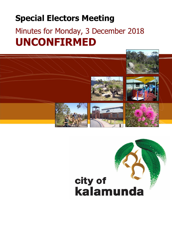# **Special Electors Meeting**

# Minutes for Monday, 3 December 2018 **UNCONFIRMED**

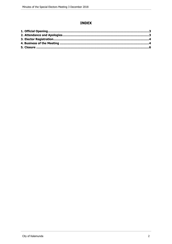# **INDEX**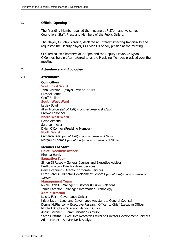# <span id="page-2-0"></span>**1. Official Opening**

The Presiding Member opened the meeting at 7:37pm and welcomed Councillors, Staff, Press and Members of the Public Gallery.

The Mayor, Cr John Giardina, declared an Interest Affecting Impartiality and requested the Deputy Mayor, Cr Dylan O'Connor, preside at the meeting.

Cr Giardina left Chambers at 7.42pm and the Deputy Mayor, Cr Dylan O'Connor, herein after referred to as the Presiding Member, presided over the meeting.

#### <span id="page-2-1"></span>**2. Attendance and Apologies**

#### 2.1 **Attendance**

# **Councillors**

**South East Ward**  John Giardina - (Mayor) *(left at 7:42pm)* Michael Fernie Geoff Stallard

**South West Ward**

Lesley Boyd Allan Morton *(left at 9:09pm and returned at 9:11pm)* Brooke O'Donnell

# **North West Ward**

David Almond Sara Lohmeyer Dylan O'Connor (Presiding Member)

#### **North Ward**

Cameron Blair *(left at 9:07pm and returned at 9:08pm)* Margaret Thomas *(left at 9:03pm and returned at 9:04pm)*

#### **Members of Staff**

**Chief Executive Officer** Rhonda Hardy **Executive Team** Simon Di Rosso – General Counsel and Executive Advisor Brett Jackson - Director Asset Services Gary Ticehurst - Director Corporate Services Peter Varelis - Director Development Services *(left at 9:07pm and returned at 9:08pm)* **Management Team**

Nicole O'Neill - Manager Customer & Public Relations Jamie Paterson - Manager Information Technology **Administration** Leisha Fair - Governance Officer Kristy Lisle – Legal and Governance Assistant to General Counsel Donna McPherson – Executive Research Officer to Chief Executive Officer Mitchell Brooks – Strategic Planning Officer Ashlin Gardner – Communications Advisor Sarah Griffiths – Executive Research Officer to Director Development Services Adam Parker – Service Desk Analyst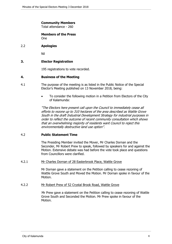# **Community Members**

Total attendance - 260

#### **Members of the Press** One

# 2.2 **Apologies**

Nil

# **3. Elector Registration**

195 registrations to vote recorded.

# <span id="page-3-0"></span>**4. Business of the Meeting**

- 4.1 The purpose of the meeting is as listed in the Public Notice of the Special Elector's Meeting published on 13 November 2018, being:
	- To consider the following motion in a Petition from Electors of the City of Kalamunda:

*"The Electors here present call upon the Council to immediately cease all efforts to rezone up to 310 hectares of the area described as Wattle Grove South in the draft Industrial Development Strategy for industrial purposes in order to reflect the outcome of recent community consultation which shows that an overwhelming majority of residents want Council to reject this environmentally destructive land use option".*

# 4.2 **Public Statement Time**

The Presiding Member invited the Mover, Mr Charles Dornan and the Seconder, Mr Robert Prew to speak, followed by speakers for and against the Motion. Extensive debate was had before the vote took place and questions from Councillors were clarified.

#### 4.2.1 Mr Charles Dornan of 28 Easterbrook Place, Wattle Grove

Mr Dornan gave a statement on the Petition calling to cease rezoning of Wattle Grove South and Moved the Motion. Mr Dornan spoke in favour of the Motion.

#### 4.2.2 Mr Robert Prew of 52 Crystal Brook Road, Wattle Grove

Mr Prew gave a statement on the Petition calling to cease rezoning of Wattle Grove South and Seconded the Motion. Mr Prew spoke in favour of the Motion.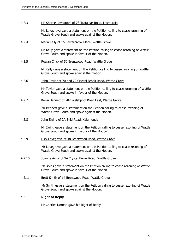#### 4.2.3 Ms Sharee Lovegrove of 23 Trafalgar Road, Lesmurdie

Ms Lovegrove gave a statement on the Petition calling to cease rezoning of Wattle Grove South and spoke against the Motion.

4.2.4 Maria Kelly of 15 Easterbrook Place, Wattle Grove

Ms Kelly gave a statement on the Petition calling to cease rezoning of Wattle Grove South and spoke in favour of the Motion.

4.2.5 Rowan Chick of 50 Brentwood Road, Wattle Grove

Mr Kelly gave a statement on the Petition calling to cease rezoning of Wattle Grove South and spoke against the motion.

4.2.6 John Taylor of 70 and 72 Crystal Brook Road, Wattle Grove

Mr Taylor gave a statement on the Petition calling to cease rezoning of Wattle Grove South and spoke in favour of the Motion.

4.2.7 Kevin Bennett of 782 Welshpool Road East, Wattle Grove

Mr Bennett gave a statement on the Petition calling to cease rezoning of Wattle Grove South and spoke against the Motion.

4.2.8 John Ewing of 2A Enid Road, Kalamunda

Mr Ewing gave a statement on the Petition calling to cease rezoning of Wattle Grove South and spoke in favour of the Motion.

4.2.9 Dick Lovegrove of 48 Brentwood Road, Wattle Grove

Mr Lovegrove gave a statement on the Petition calling to cease rezoning of Wattle Grove South and spoke against the Motion.

4.2.10 Joanne Avins of 94 Crystal Brook Road, Wattle Grove

Ms Avins gave a statement on the Petition calling to cease rezoning of Wattle Grove South and spoke in favour of the Motion.

4.2.11 Brett Smith of 14 Brentwood Road, Wattle Grove

Mr Smith gave a statement on the Petition calling to cease rezoning of Wattle Grove South and spoke against the Motion.

# 4.3 **Right of Reply**

Mr Charles Dornan gave his Right of Reply.